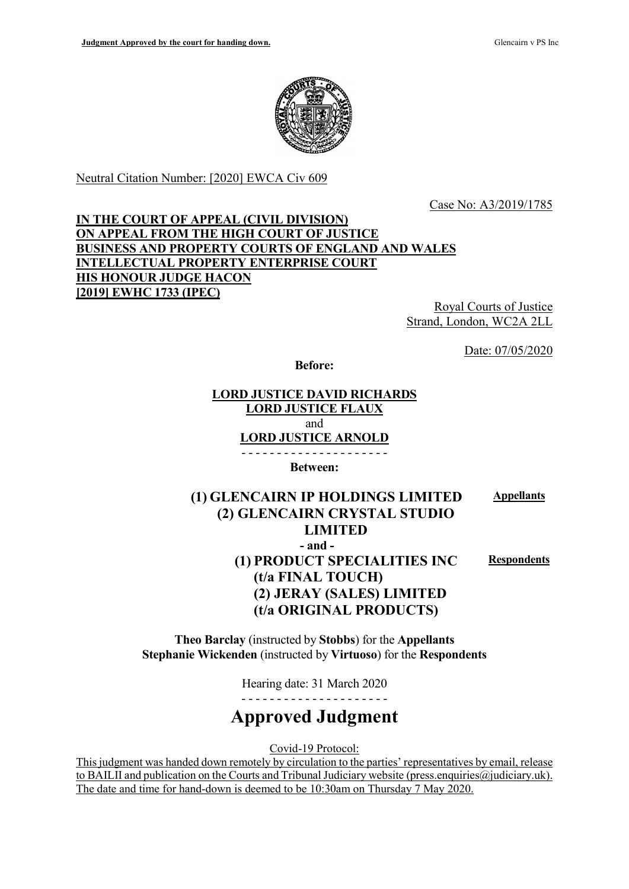

Neutral Citation Number: [2020] EWCA Civ 609

Case No: A3/2019/1785

## IN THE COURT OF APPEAL (CIVIL DIVISION) ON APPEAL FROM THE HIGH COURT OF JUSTICE BUSINESS AND PROPERTY COURTS OF ENGLAND AND WALES INTELLECTUAL PROPERTY ENTERPRISE COURT HIS HONOUR JUDGE HACON [2019] EWHC 1733 (IPEC)

Royal Courts of Justice Strand, London, WC2A 2LL

Date: 07/05/2020

Before:

LORD JUSTICE DAVID RICHARDS LORD JUSTICE FLAUX and LORD JUSTICE ARNOLD - - - - - - - - - - - - - - - - - - - - -

Between:

#### (1) GLENCAIRN IP HOLDINGS LIMITED (2) GLENCAIRN CRYSTAL STUDIO LIMITED Appellants - and - (1) PRODUCT SPECIALITIES INC Respondents

(t/a FINAL TOUCH) (2) JERAY (SALES) LIMITED (t/a ORIGINAL PRODUCTS)

Theo Barclay (instructed by Stobbs) for the Appellants Stephanie Wickenden (instructed by Virtuoso) for the Respondents

Hearing date: 31 March 2020

- - - - - - - - - - - - - - - - - - - - -

# Approved Judgment

Covid-19 Protocol:

This judgment was handed down remotely by circulation to the parties' representatives by email, release to BAILII and publication on the Courts and Tribunal Judiciary website (press.enquiries@judiciary.uk). The date and time for hand-down is deemed to be 10:30am on Thursday 7 May 2020.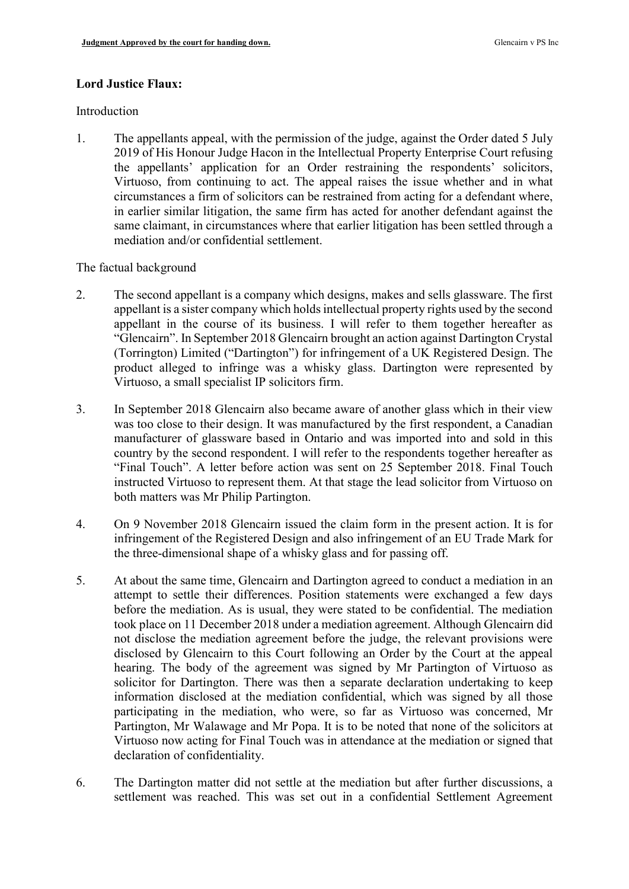#### Lord Justice Flaux:

#### Introduction

1. The appellants appeal, with the permission of the judge, against the Order dated 5 July 2019 of His Honour Judge Hacon in the Intellectual Property Enterprise Court refusing the appellants' application for an Order restraining the respondents' solicitors, Virtuoso, from continuing to act. The appeal raises the issue whether and in what circumstances a firm of solicitors can be restrained from acting for a defendant where, in earlier similar litigation, the same firm has acted for another defendant against the same claimant, in circumstances where that earlier litigation has been settled through a mediation and/or confidential settlement.

The factual background

- 2. The second appellant is a company which designs, makes and sells glassware. The first appellant is a sister company which holds intellectual property rights used by the second appellant in the course of its business. I will refer to them together hereafter as "Glencairn". In September 2018 Glencairn brought an action against Dartington Crystal (Torrington) Limited ("Dartington") for infringement of a UK Registered Design. The product alleged to infringe was a whisky glass. Dartington were represented by Virtuoso, a small specialist IP solicitors firm.
- 3. In September 2018 Glencairn also became aware of another glass which in their view was too close to their design. It was manufactured by the first respondent, a Canadian manufacturer of glassware based in Ontario and was imported into and sold in this country by the second respondent. I will refer to the respondents together hereafter as "Final Touch". A letter before action was sent on 25 September 2018. Final Touch instructed Virtuoso to represent them. At that stage the lead solicitor from Virtuoso on both matters was Mr Philip Partington.
- 4. On 9 November 2018 Glencairn issued the claim form in the present action. It is for infringement of the Registered Design and also infringement of an EU Trade Mark for the three-dimensional shape of a whisky glass and for passing off.
- 5. At about the same time, Glencairn and Dartington agreed to conduct a mediation in an attempt to settle their differences. Position statements were exchanged a few days before the mediation. As is usual, they were stated to be confidential. The mediation took place on 11 December 2018 under a mediation agreement. Although Glencairn did not disclose the mediation agreement before the judge, the relevant provisions were disclosed by Glencairn to this Court following an Order by the Court at the appeal hearing. The body of the agreement was signed by Mr Partington of Virtuoso as solicitor for Dartington. There was then a separate declaration undertaking to keep information disclosed at the mediation confidential, which was signed by all those participating in the mediation, who were, so far as Virtuoso was concerned, Mr Partington, Mr Walawage and Mr Popa. It is to be noted that none of the solicitors at Virtuoso now acting for Final Touch was in attendance at the mediation or signed that declaration of confidentiality.
- 6. The Dartington matter did not settle at the mediation but after further discussions, a settlement was reached. This was set out in a confidential Settlement Agreement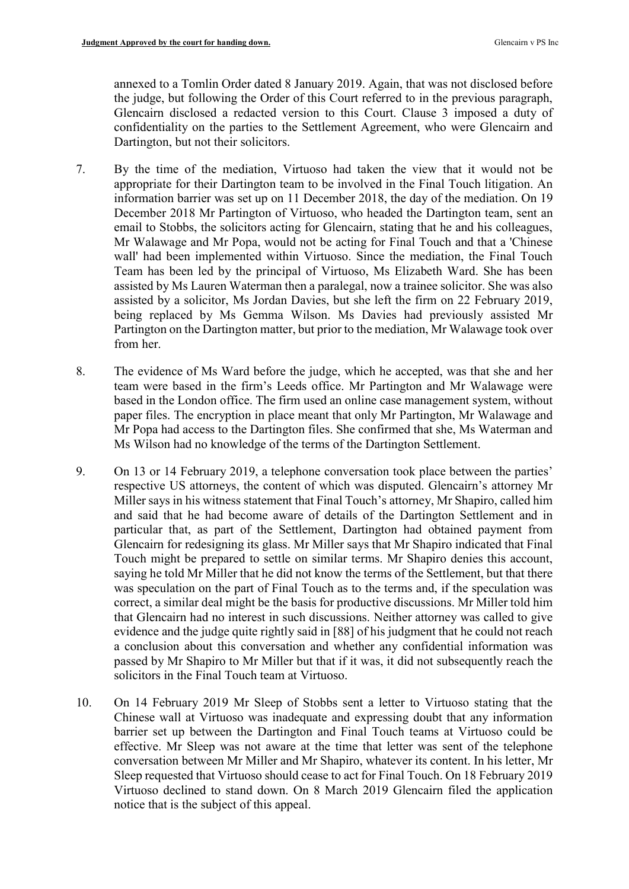annexed to a Tomlin Order dated 8 January 2019. Again, that was not disclosed before the judge, but following the Order of this Court referred to in the previous paragraph, Glencairn disclosed a redacted version to this Court. Clause 3 imposed a duty of confidentiality on the parties to the Settlement Agreement, who were Glencairn and Dartington, but not their solicitors.

- 7. By the time of the mediation, Virtuoso had taken the view that it would not be appropriate for their Dartington team to be involved in the Final Touch litigation. An information barrier was set up on 11 December 2018, the day of the mediation. On 19 December 2018 Mr Partington of Virtuoso, who headed the Dartington team, sent an email to Stobbs, the solicitors acting for Glencairn, stating that he and his colleagues, Mr Walawage and Mr Popa, would not be acting for Final Touch and that a 'Chinese wall' had been implemented within Virtuoso. Since the mediation, the Final Touch Team has been led by the principal of Virtuoso, Ms Elizabeth Ward. She has been assisted by Ms Lauren Waterman then a paralegal, now a trainee solicitor. She was also assisted by a solicitor, Ms Jordan Davies, but she left the firm on 22 February 2019, being replaced by Ms Gemma Wilson. Ms Davies had previously assisted Mr Partington on the Dartington matter, but prior to the mediation, Mr Walawage took over from her.
- 8. The evidence of Ms Ward before the judge, which he accepted, was that she and her team were based in the firm's Leeds office. Mr Partington and Mr Walawage were based in the London office. The firm used an online case management system, without paper files. The encryption in place meant that only Mr Partington, Mr Walawage and Mr Popa had access to the Dartington files. She confirmed that she, Ms Waterman and Ms Wilson had no knowledge of the terms of the Dartington Settlement.
- 9. On 13 or 14 February 2019, a telephone conversation took place between the parties' respective US attorneys, the content of which was disputed. Glencairn's attorney Mr Miller says in his witness statement that Final Touch's attorney, Mr Shapiro, called him and said that he had become aware of details of the Dartington Settlement and in particular that, as part of the Settlement, Dartington had obtained payment from Glencairn for redesigning its glass. Mr Miller says that Mr Shapiro indicated that Final Touch might be prepared to settle on similar terms. Mr Shapiro denies this account, saying he told Mr Miller that he did not know the terms of the Settlement, but that there was speculation on the part of Final Touch as to the terms and, if the speculation was correct, a similar deal might be the basis for productive discussions. Mr Miller told him that Glencairn had no interest in such discussions. Neither attorney was called to give evidence and the judge quite rightly said in [88] of his judgment that he could not reach a conclusion about this conversation and whether any confidential information was passed by Mr Shapiro to Mr Miller but that if it was, it did not subsequently reach the solicitors in the Final Touch team at Virtuoso.
- 10. On 14 February 2019 Mr Sleep of Stobbs sent a letter to Virtuoso stating that the Chinese wall at Virtuoso was inadequate and expressing doubt that any information barrier set up between the Dartington and Final Touch teams at Virtuoso could be effective. Mr Sleep was not aware at the time that letter was sent of the telephone conversation between Mr Miller and Mr Shapiro, whatever its content. In his letter, Mr Sleep requested that Virtuoso should cease to act for Final Touch. On 18 February 2019 Virtuoso declined to stand down. On 8 March 2019 Glencairn filed the application notice that is the subject of this appeal.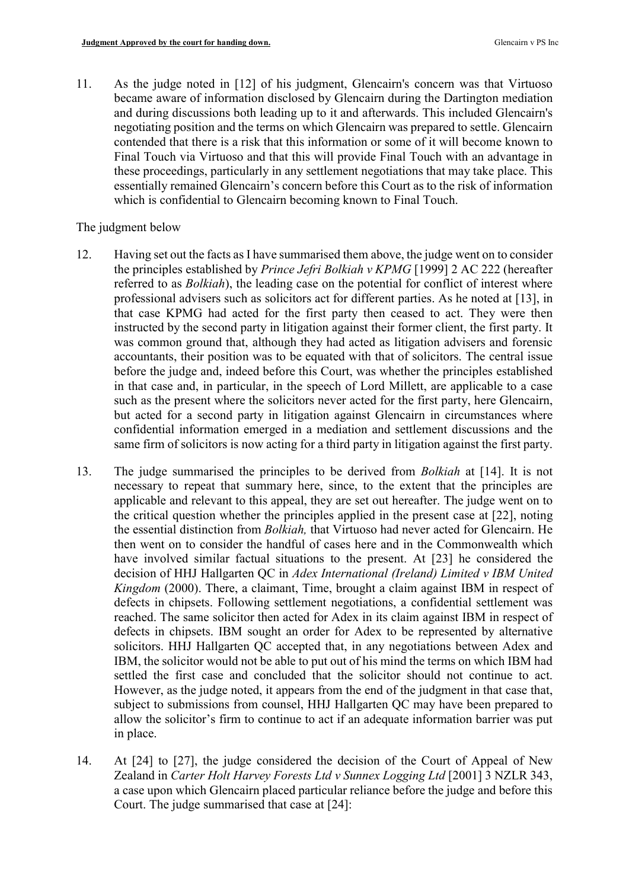11. As the judge noted in [12] of his judgment, Glencairn's concern was that Virtuoso became aware of information disclosed by Glencairn during the Dartington mediation and during discussions both leading up to it and afterwards. This included Glencairn's negotiating position and the terms on which Glencairn was prepared to settle. Glencairn contended that there is a risk that this information or some of it will become known to Final Touch via Virtuoso and that this will provide Final Touch with an advantage in these proceedings, particularly in any settlement negotiations that may take place. This essentially remained Glencairn's concern before this Court as to the risk of information which is confidential to Glencairn becoming known to Final Touch.

#### The judgment below

- 12. Having set out the facts as I have summarised them above, the judge went on to consider the principles established by Prince Jefri Bolkiah v KPMG [1999] 2 AC 222 (hereafter referred to as *Bolkiah*), the leading case on the potential for conflict of interest where professional advisers such as solicitors act for different parties. As he noted at [13], in that case KPMG had acted for the first party then ceased to act. They were then instructed by the second party in litigation against their former client, the first party. It was common ground that, although they had acted as litigation advisers and forensic accountants, their position was to be equated with that of solicitors. The central issue before the judge and, indeed before this Court, was whether the principles established in that case and, in particular, in the speech of Lord Millett, are applicable to a case such as the present where the solicitors never acted for the first party, here Glencairn, but acted for a second party in litigation against Glencairn in circumstances where confidential information emerged in a mediation and settlement discussions and the same firm of solicitors is now acting for a third party in litigation against the first party.
- 13. The judge summarised the principles to be derived from Bolkiah at [14]. It is not necessary to repeat that summary here, since, to the extent that the principles are applicable and relevant to this appeal, they are set out hereafter. The judge went on to the critical question whether the principles applied in the present case at [22], noting the essential distinction from Bolkiah, that Virtuoso had never acted for Glencairn. He then went on to consider the handful of cases here and in the Commonwealth which have involved similar factual situations to the present. At [23] he considered the decision of HHJ Hallgarten QC in Adex International (Ireland) Limited v IBM United Kingdom (2000). There, a claimant, Time, brought a claim against IBM in respect of defects in chipsets. Following settlement negotiations, a confidential settlement was reached. The same solicitor then acted for Adex in its claim against IBM in respect of defects in chipsets. IBM sought an order for Adex to be represented by alternative solicitors. HHJ Hallgarten QC accepted that, in any negotiations between Adex and IBM, the solicitor would not be able to put out of his mind the terms on which IBM had settled the first case and concluded that the solicitor should not continue to act. However, as the judge noted, it appears from the end of the judgment in that case that, subject to submissions from counsel, HHJ Hallgarten QC may have been prepared to allow the solicitor's firm to continue to act if an adequate information barrier was put in place.
- 14. At [24] to [27], the judge considered the decision of the Court of Appeal of New Zealand in Carter Holt Harvey Forests Ltd v Sunnex Logging Ltd [2001] 3 NZLR 343, a case upon which Glencairn placed particular reliance before the judge and before this Court. The judge summarised that case at [24]: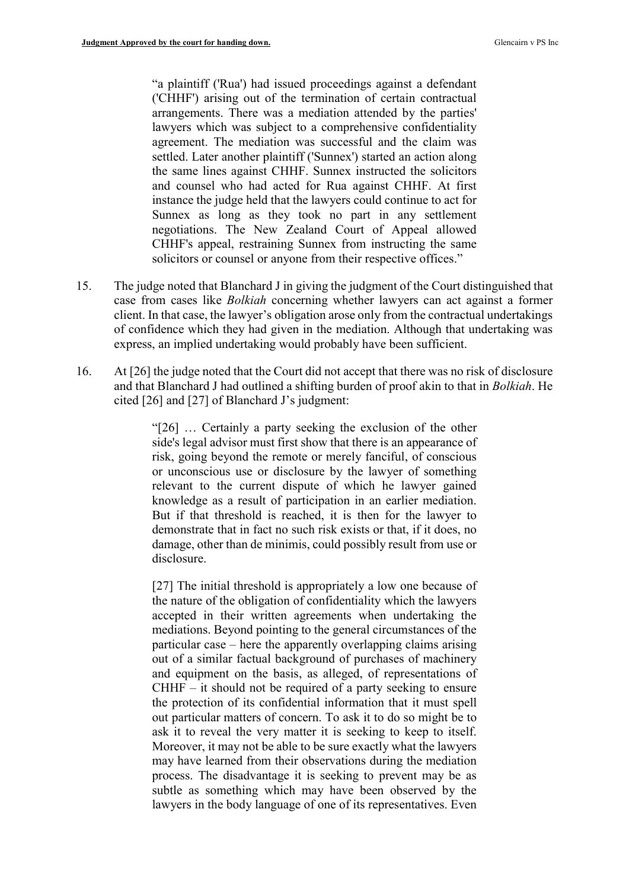"a plaintiff ('Rua') had issued proceedings against a defendant ('CHHF') arising out of the termination of certain contractual arrangements. There was a mediation attended by the parties' lawyers which was subject to a comprehensive confidentiality agreement. The mediation was successful and the claim was settled. Later another plaintiff ('Sunnex') started an action along the same lines against CHHF. Sunnex instructed the solicitors and counsel who had acted for Rua against CHHF. At first instance the judge held that the lawyers could continue to act for Sunnex as long as they took no part in any settlement negotiations. The New Zealand Court of Appeal allowed CHHF's appeal, restraining Sunnex from instructing the same solicitors or counsel or anyone from their respective offices."

- 15. The judge noted that Blanchard J in giving the judgment of the Court distinguished that case from cases like Bolkiah concerning whether lawyers can act against a former client. In that case, the lawyer's obligation arose only from the contractual undertakings of confidence which they had given in the mediation. Although that undertaking was express, an implied undertaking would probably have been sufficient.
- 16. At [26] the judge noted that the Court did not accept that there was no risk of disclosure and that Blanchard J had outlined a shifting burden of proof akin to that in Bolkiah. He cited [26] and [27] of Blanchard J's judgment:

"[26] … Certainly a party seeking the exclusion of the other side's legal advisor must first show that there is an appearance of risk, going beyond the remote or merely fanciful, of conscious or unconscious use or disclosure by the lawyer of something relevant to the current dispute of which he lawyer gained knowledge as a result of participation in an earlier mediation. But if that threshold is reached, it is then for the lawyer to demonstrate that in fact no such risk exists or that, if it does, no damage, other than de minimis, could possibly result from use or disclosure.

[27] The initial threshold is appropriately a low one because of the nature of the obligation of confidentiality which the lawyers accepted in their written agreements when undertaking the mediations. Beyond pointing to the general circumstances of the particular case – here the apparently overlapping claims arising out of a similar factual background of purchases of machinery and equipment on the basis, as alleged, of representations of  $CHHF - it$  should not be required of a party seeking to ensure the protection of its confidential information that it must spell out particular matters of concern. To ask it to do so might be to ask it to reveal the very matter it is seeking to keep to itself. Moreover, it may not be able to be sure exactly what the lawyers may have learned from their observations during the mediation process. The disadvantage it is seeking to prevent may be as subtle as something which may have been observed by the lawyers in the body language of one of its representatives. Even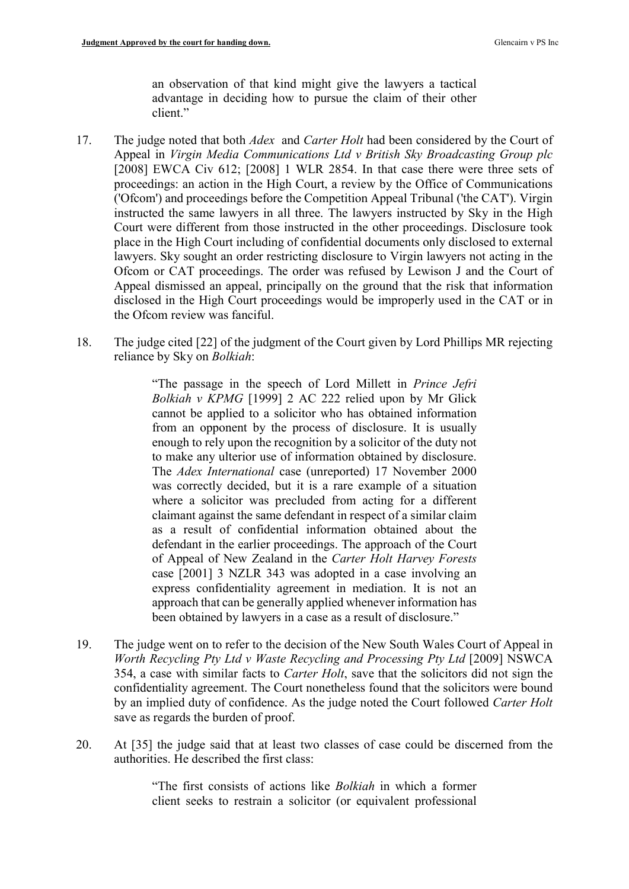an observation of that kind might give the lawyers a tactical advantage in deciding how to pursue the claim of their other client."

- 17. The judge noted that both *Adex* and *Carter Holt* had been considered by the Court of Appeal in Virgin Media Communications Ltd v British Sky Broadcasting Group plc [2008] EWCA Civ 612; [2008] 1 WLR 2854. In that case there were three sets of proceedings: an action in the High Court, a review by the Office of Communications ('Ofcom') and proceedings before the Competition Appeal Tribunal ('the CAT'). Virgin instructed the same lawyers in all three. The lawyers instructed by Sky in the High Court were different from those instructed in the other proceedings. Disclosure took place in the High Court including of confidential documents only disclosed to external lawyers. Sky sought an order restricting disclosure to Virgin lawyers not acting in the Ofcom or CAT proceedings. The order was refused by Lewison J and the Court of Appeal dismissed an appeal, principally on the ground that the risk that information disclosed in the High Court proceedings would be improperly used in the CAT or in the Ofcom review was fanciful.
- 18. The judge cited [22] of the judgment of the Court given by Lord Phillips MR rejecting reliance by Sky on Bolkiah:

"The passage in the speech of Lord Millett in Prince Jefri Bolkiah v KPMG [1999] 2 AC 222 relied upon by Mr Glick cannot be applied to a solicitor who has obtained information from an opponent by the process of disclosure. It is usually enough to rely upon the recognition by a solicitor of the duty not to make any ulterior use of information obtained by disclosure. The Adex International case (unreported) 17 November 2000 was correctly decided, but it is a rare example of a situation where a solicitor was precluded from acting for a different claimant against the same defendant in respect of a similar claim as a result of confidential information obtained about the defendant in the earlier proceedings. The approach of the Court of Appeal of New Zealand in the Carter Holt Harvey Forests case [2001] 3 NZLR 343 was adopted in a case involving an express confidentiality agreement in mediation. It is not an approach that can be generally applied whenever information has been obtained by lawyers in a case as a result of disclosure."

- 19. The judge went on to refer to the decision of the New South Wales Court of Appeal in Worth Recycling Pty Ltd v Waste Recycling and Processing Pty Ltd [2009] NSWCA 354, a case with similar facts to Carter Holt, save that the solicitors did not sign the confidentiality agreement. The Court nonetheless found that the solicitors were bound by an implied duty of confidence. As the judge noted the Court followed Carter Holt save as regards the burden of proof.
- 20. At [35] the judge said that at least two classes of case could be discerned from the authorities. He described the first class:

"The first consists of actions like Bolkiah in which a former client seeks to restrain a solicitor (or equivalent professional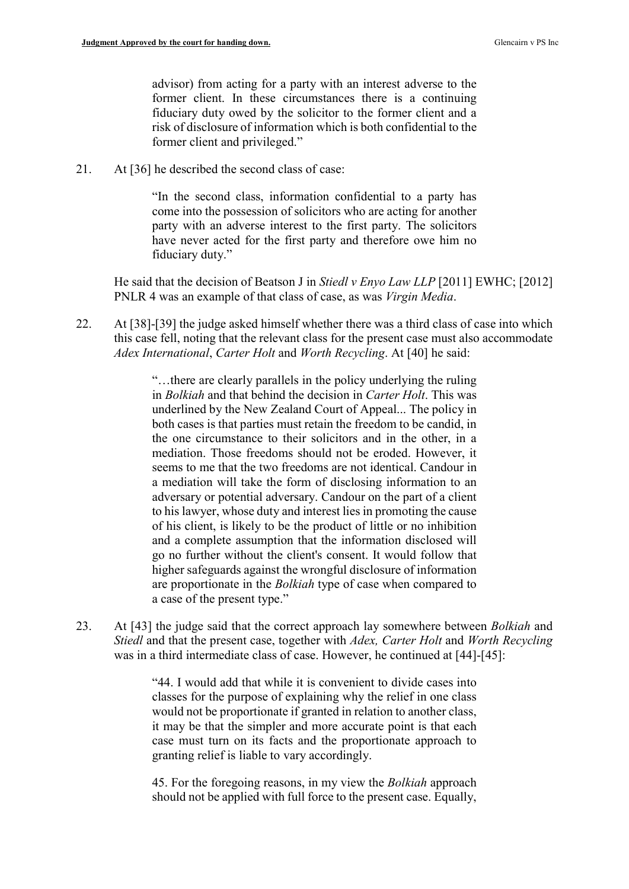advisor) from acting for a party with an interest adverse to the former client. In these circumstances there is a continuing fiduciary duty owed by the solicitor to the former client and a risk of disclosure of information which is both confidential to the former client and privileged."

21. At [36] he described the second class of case:

"In the second class, information confidential to a party has come into the possession of solicitors who are acting for another party with an adverse interest to the first party. The solicitors have never acted for the first party and therefore owe him no fiduciary duty."

He said that the decision of Beatson J in Stiedl v Enyo Law LLP [2011] EWHC; [2012] PNLR 4 was an example of that class of case, as was Virgin Media.

22. At [38]-[39] the judge asked himself whether there was a third class of case into which this case fell, noting that the relevant class for the present case must also accommodate Adex International, Carter Holt and Worth Recycling. At [40] he said:

> "…there are clearly parallels in the policy underlying the ruling in Bolkiah and that behind the decision in Carter Holt. This was underlined by the New Zealand Court of Appeal... The policy in both cases is that parties must retain the freedom to be candid, in the one circumstance to their solicitors and in the other, in a mediation. Those freedoms should not be eroded. However, it seems to me that the two freedoms are not identical. Candour in a mediation will take the form of disclosing information to an adversary or potential adversary. Candour on the part of a client to his lawyer, whose duty and interest lies in promoting the cause of his client, is likely to be the product of little or no inhibition and a complete assumption that the information disclosed will go no further without the client's consent. It would follow that higher safeguards against the wrongful disclosure of information are proportionate in the Bolkiah type of case when compared to a case of the present type."

23. At [43] the judge said that the correct approach lay somewhere between *Bolkiah* and Stiedl and that the present case, together with Adex, Carter Holt and Worth Recycling was in a third intermediate class of case. However, he continued at [44]-[45]:

> "44. I would add that while it is convenient to divide cases into classes for the purpose of explaining why the relief in one class would not be proportionate if granted in relation to another class, it may be that the simpler and more accurate point is that each case must turn on its facts and the proportionate approach to granting relief is liable to vary accordingly.

> 45. For the foregoing reasons, in my view the Bolkiah approach should not be applied with full force to the present case. Equally,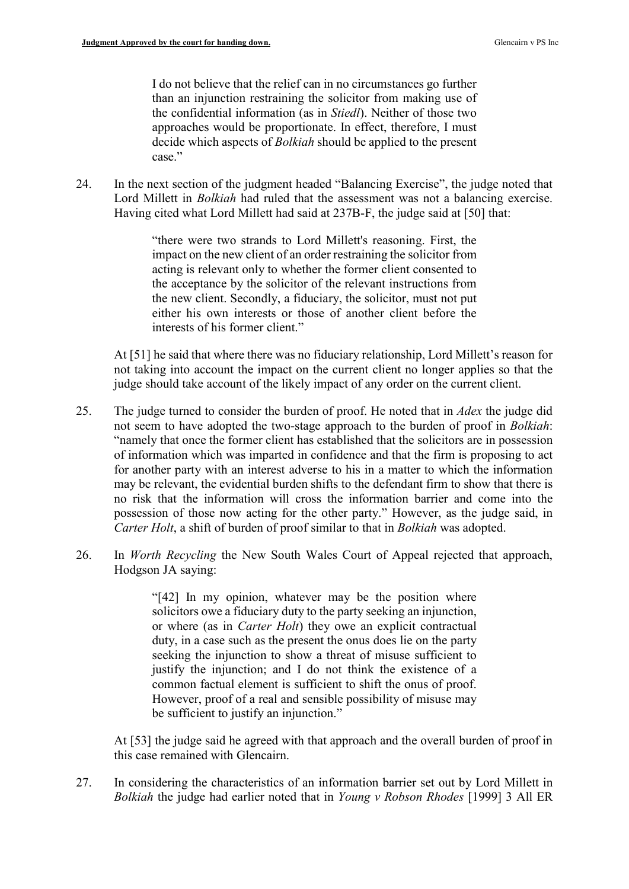I do not believe that the relief can in no circumstances go further than an injunction restraining the solicitor from making use of the confidential information (as in Stiedl). Neither of those two approaches would be proportionate. In effect, therefore, I must decide which aspects of Bolkiah should be applied to the present case."

24. In the next section of the judgment headed "Balancing Exercise", the judge noted that Lord Millett in *Bolkiah* had ruled that the assessment was not a balancing exercise. Having cited what Lord Millett had said at 237B-F, the judge said at [50] that:

> "there were two strands to Lord Millett's reasoning. First, the impact on the new client of an order restraining the solicitor from acting is relevant only to whether the former client consented to the acceptance by the solicitor of the relevant instructions from the new client. Secondly, a fiduciary, the solicitor, must not put either his own interests or those of another client before the interests of his former client."

At [51] he said that where there was no fiduciary relationship, Lord Millett's reason for not taking into account the impact on the current client no longer applies so that the judge should take account of the likely impact of any order on the current client.

- 25. The judge turned to consider the burden of proof. He noted that in *Adex* the judge did not seem to have adopted the two-stage approach to the burden of proof in Bolkiah: "namely that once the former client has established that the solicitors are in possession of information which was imparted in confidence and that the firm is proposing to act for another party with an interest adverse to his in a matter to which the information may be relevant, the evidential burden shifts to the defendant firm to show that there is no risk that the information will cross the information barrier and come into the possession of those now acting for the other party." However, as the judge said, in Carter Holt, a shift of burden of proof similar to that in Bolkiah was adopted.
- 26. In Worth Recycling the New South Wales Court of Appeal rejected that approach, Hodgson JA saying:

"[42] In my opinion, whatever may be the position where solicitors owe a fiduciary duty to the party seeking an injunction, or where (as in Carter Holt) they owe an explicit contractual duty, in a case such as the present the onus does lie on the party seeking the injunction to show a threat of misuse sufficient to justify the injunction; and I do not think the existence of a common factual element is sufficient to shift the onus of proof. However, proof of a real and sensible possibility of misuse may be sufficient to justify an injunction."

At [53] the judge said he agreed with that approach and the overall burden of proof in this case remained with Glencairn.

27. In considering the characteristics of an information barrier set out by Lord Millett in Bolkiah the judge had earlier noted that in Young v Robson Rhodes [1999] 3 All ER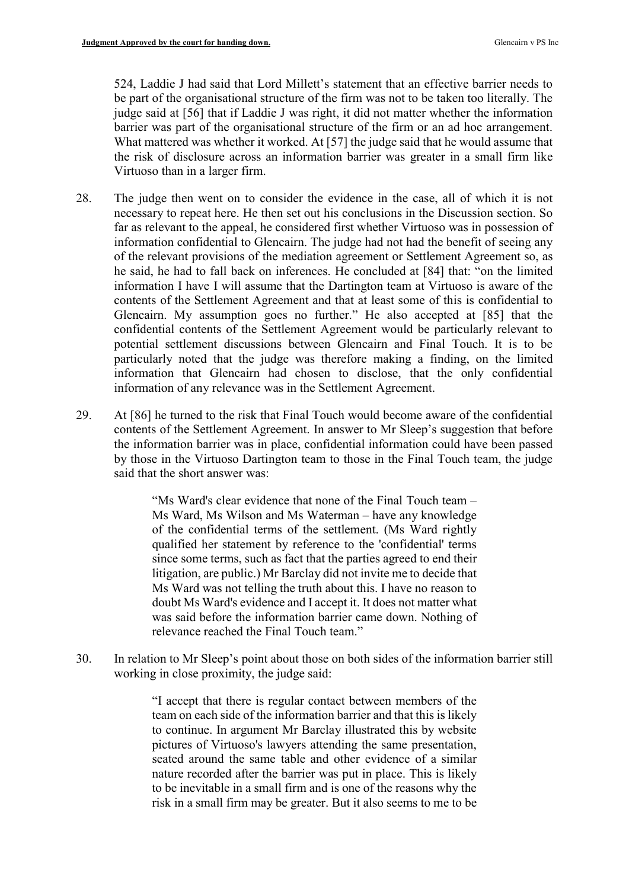524, Laddie J had said that Lord Millett's statement that an effective barrier needs to be part of the organisational structure of the firm was not to be taken too literally. The judge said at [56] that if Laddie J was right, it did not matter whether the information barrier was part of the organisational structure of the firm or an ad hoc arrangement. What mattered was whether it worked. At [57] the judge said that he would assume that the risk of disclosure across an information barrier was greater in a small firm like Virtuoso than in a larger firm.

- 28. The judge then went on to consider the evidence in the case, all of which it is not necessary to repeat here. He then set out his conclusions in the Discussion section. So far as relevant to the appeal, he considered first whether Virtuoso was in possession of information confidential to Glencairn. The judge had not had the benefit of seeing any of the relevant provisions of the mediation agreement or Settlement Agreement so, as he said, he had to fall back on inferences. He concluded at [84] that: "on the limited information I have I will assume that the Dartington team at Virtuoso is aware of the contents of the Settlement Agreement and that at least some of this is confidential to Glencairn. My assumption goes no further." He also accepted at [85] that the confidential contents of the Settlement Agreement would be particularly relevant to potential settlement discussions between Glencairn and Final Touch. It is to be particularly noted that the judge was therefore making a finding, on the limited information that Glencairn had chosen to disclose, that the only confidential information of any relevance was in the Settlement Agreement.
- 29. At [86] he turned to the risk that Final Touch would become aware of the confidential contents of the Settlement Agreement. In answer to Mr Sleep's suggestion that before the information barrier was in place, confidential information could have been passed by those in the Virtuoso Dartington team to those in the Final Touch team, the judge said that the short answer was:

"Ms Ward's clear evidence that none of the Final Touch team – Ms Ward, Ms Wilson and Ms Waterman – have any knowledge of the confidential terms of the settlement. (Ms Ward rightly qualified her statement by reference to the 'confidential' terms since some terms, such as fact that the parties agreed to end their litigation, are public.) Mr Barclay did not invite me to decide that Ms Ward was not telling the truth about this. I have no reason to doubt Ms Ward's evidence and I accept it. It does not matter what was said before the information barrier came down. Nothing of relevance reached the Final Touch team."

30. In relation to Mr Sleep's point about those on both sides of the information barrier still working in close proximity, the judge said:

> "I accept that there is regular contact between members of the team on each side of the information barrier and that this is likely to continue. In argument Mr Barclay illustrated this by website pictures of Virtuoso's lawyers attending the same presentation, seated around the same table and other evidence of a similar nature recorded after the barrier was put in place. This is likely to be inevitable in a small firm and is one of the reasons why the risk in a small firm may be greater. But it also seems to me to be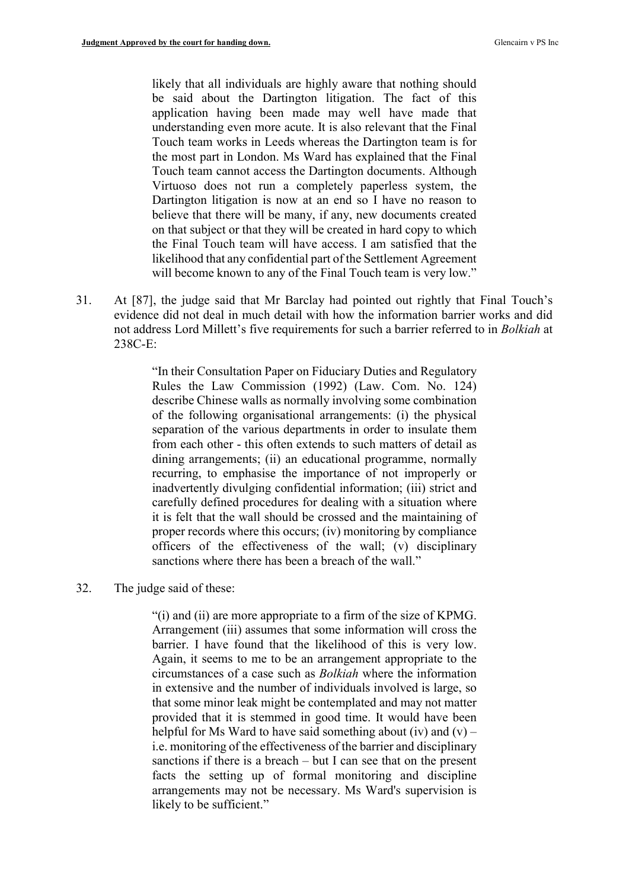likely that all individuals are highly aware that nothing should be said about the Dartington litigation. The fact of this application having been made may well have made that understanding even more acute. It is also relevant that the Final Touch team works in Leeds whereas the Dartington team is for the most part in London. Ms Ward has explained that the Final Touch team cannot access the Dartington documents. Although Virtuoso does not run a completely paperless system, the Dartington litigation is now at an end so I have no reason to believe that there will be many, if any, new documents created on that subject or that they will be created in hard copy to which the Final Touch team will have access. I am satisfied that the likelihood that any confidential part of the Settlement Agreement will become known to any of the Final Touch team is very low."

31. At [87], the judge said that Mr Barclay had pointed out rightly that Final Touch's evidence did not deal in much detail with how the information barrier works and did not address Lord Millett's five requirements for such a barrier referred to in Bolkiah at 238C-E:

> "In their Consultation Paper on Fiduciary Duties and Regulatory Rules the Law Commission (1992) (Law. Com. No. 124) describe Chinese walls as normally involving some combination of the following organisational arrangements: (i) the physical separation of the various departments in order to insulate them from each other - this often extends to such matters of detail as dining arrangements; (ii) an educational programme, normally recurring, to emphasise the importance of not improperly or inadvertently divulging confidential information; (iii) strict and carefully defined procedures for dealing with a situation where it is felt that the wall should be crossed and the maintaining of proper records where this occurs; (iv) monitoring by compliance officers of the effectiveness of the wall; (v) disciplinary sanctions where there has been a breach of the wall."

32. The judge said of these:

"(i) and (ii) are more appropriate to a firm of the size of KPMG. Arrangement (iii) assumes that some information will cross the barrier. I have found that the likelihood of this is very low. Again, it seems to me to be an arrangement appropriate to the circumstances of a case such as Bolkiah where the information in extensive and the number of individuals involved is large, so that some minor leak might be contemplated and may not matter provided that it is stemmed in good time. It would have been helpful for Ms Ward to have said something about (iv) and  $(v)$  – i.e. monitoring of the effectiveness of the barrier and disciplinary sanctions if there is a breach – but I can see that on the present facts the setting up of formal monitoring and discipline arrangements may not be necessary. Ms Ward's supervision is likely to be sufficient."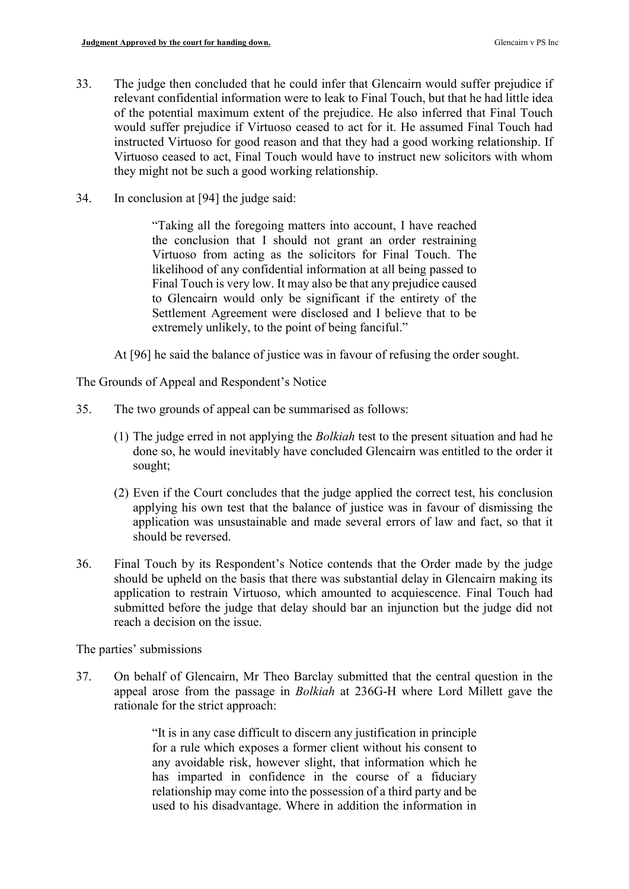- 33. The judge then concluded that he could infer that Glencairn would suffer prejudice if relevant confidential information were to leak to Final Touch, but that he had little idea of the potential maximum extent of the prejudice. He also inferred that Final Touch would suffer prejudice if Virtuoso ceased to act for it. He assumed Final Touch had instructed Virtuoso for good reason and that they had a good working relationship. If Virtuoso ceased to act, Final Touch would have to instruct new solicitors with whom they might not be such a good working relationship.
- 34. In conclusion at [94] the judge said:

"Taking all the foregoing matters into account, I have reached the conclusion that I should not grant an order restraining Virtuoso from acting as the solicitors for Final Touch. The likelihood of any confidential information at all being passed to Final Touch is very low. It may also be that any prejudice caused to Glencairn would only be significant if the entirety of the Settlement Agreement were disclosed and I believe that to be extremely unlikely, to the point of being fanciful."

At [96] he said the balance of justice was in favour of refusing the order sought.

The Grounds of Appeal and Respondent's Notice

- 35. The two grounds of appeal can be summarised as follows:
	- (1) The judge erred in not applying the Bolkiah test to the present situation and had he done so, he would inevitably have concluded Glencairn was entitled to the order it sought;
	- (2) Even if the Court concludes that the judge applied the correct test, his conclusion applying his own test that the balance of justice was in favour of dismissing the application was unsustainable and made several errors of law and fact, so that it should be reversed.
- 36. Final Touch by its Respondent's Notice contends that the Order made by the judge should be upheld on the basis that there was substantial delay in Glencairn making its application to restrain Virtuoso, which amounted to acquiescence. Final Touch had submitted before the judge that delay should bar an injunction but the judge did not reach a decision on the issue.

The parties' submissions

37. On behalf of Glencairn, Mr Theo Barclay submitted that the central question in the appeal arose from the passage in Bolkiah at 236G-H where Lord Millett gave the rationale for the strict approach:

> "It is in any case difficult to discern any justification in principle for a rule which exposes a former client without his consent to any avoidable risk, however slight, that information which he has imparted in confidence in the course of a fiduciary relationship may come into the possession of a third party and be used to his disadvantage. Where in addition the information in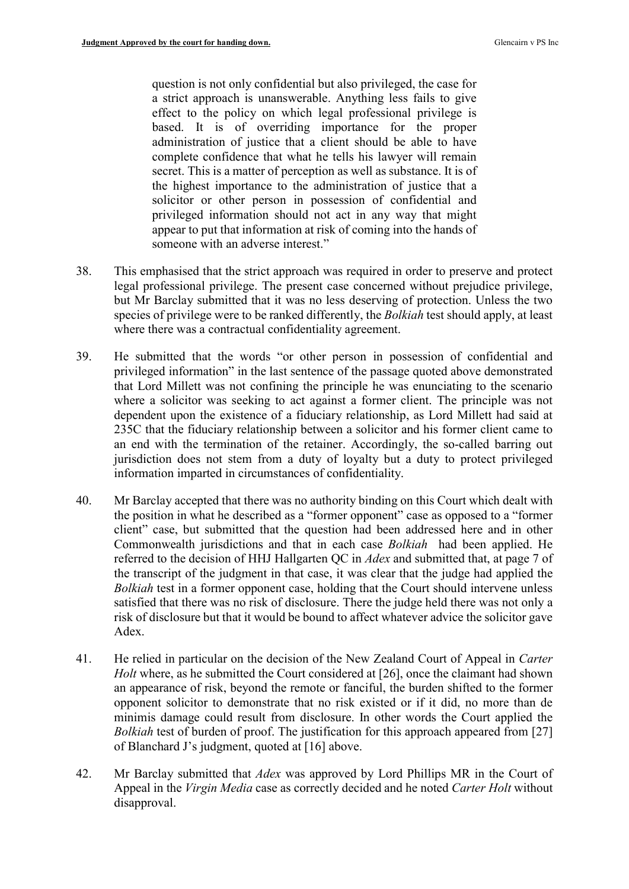question is not only confidential but also privileged, the case for a strict approach is unanswerable. Anything less fails to give effect to the policy on which legal professional privilege is based. It is of overriding importance for the proper administration of justice that a client should be able to have complete confidence that what he tells his lawyer will remain secret. This is a matter of perception as well as substance. It is of the highest importance to the administration of justice that a solicitor or other person in possession of confidential and privileged information should not act in any way that might appear to put that information at risk of coming into the hands of someone with an adverse interest."

- 38. This emphasised that the strict approach was required in order to preserve and protect legal professional privilege. The present case concerned without prejudice privilege, but Mr Barclay submitted that it was no less deserving of protection. Unless the two species of privilege were to be ranked differently, the Bolkiah test should apply, at least where there was a contractual confidentiality agreement.
- 39. He submitted that the words "or other person in possession of confidential and privileged information" in the last sentence of the passage quoted above demonstrated that Lord Millett was not confining the principle he was enunciating to the scenario where a solicitor was seeking to act against a former client. The principle was not dependent upon the existence of a fiduciary relationship, as Lord Millett had said at 235C that the fiduciary relationship between a solicitor and his former client came to an end with the termination of the retainer. Accordingly, the so-called barring out jurisdiction does not stem from a duty of loyalty but a duty to protect privileged information imparted in circumstances of confidentiality.
- 40. Mr Barclay accepted that there was no authority binding on this Court which dealt with the position in what he described as a "former opponent" case as opposed to a "former client" case, but submitted that the question had been addressed here and in other Commonwealth jurisdictions and that in each case Bolkiah had been applied. He referred to the decision of HHJ Hallgarten QC in Adex and submitted that, at page 7 of the transcript of the judgment in that case, it was clear that the judge had applied the Bolkiah test in a former opponent case, holding that the Court should intervene unless satisfied that there was no risk of disclosure. There the judge held there was not only a risk of disclosure but that it would be bound to affect whatever advice the solicitor gave Adex.
- 41. He relied in particular on the decision of the New Zealand Court of Appeal in Carter Holt where, as he submitted the Court considered at [26], once the claimant had shown an appearance of risk, beyond the remote or fanciful, the burden shifted to the former opponent solicitor to demonstrate that no risk existed or if it did, no more than de minimis damage could result from disclosure. In other words the Court applied the Bolkiah test of burden of proof. The justification for this approach appeared from [27] of Blanchard J's judgment, quoted at [16] above.
- 42. Mr Barclay submitted that *Adex* was approved by Lord Phillips MR in the Court of Appeal in the Virgin Media case as correctly decided and he noted Carter Holt without disapproval.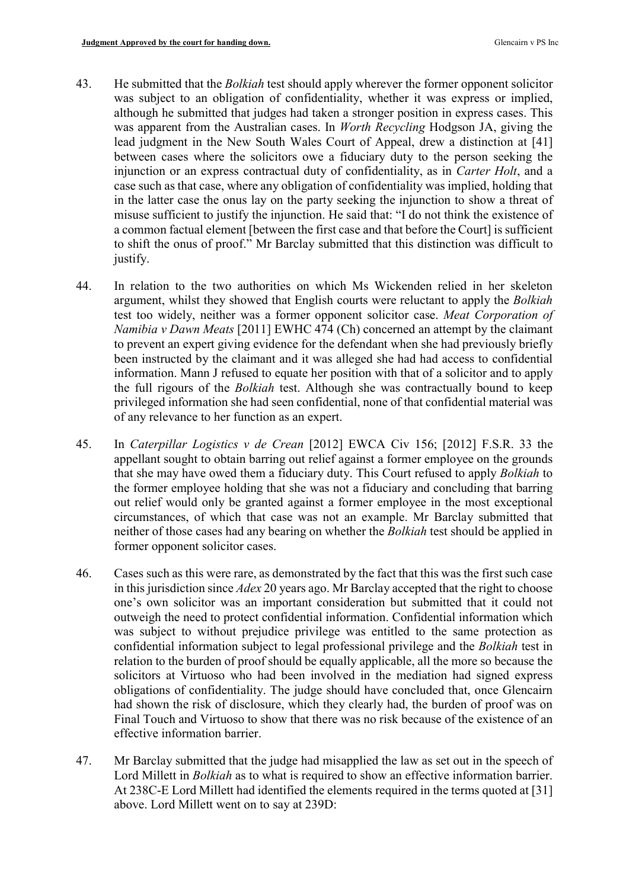- 43. He submitted that the *Bolkiah* test should apply wherever the former opponent solicitor was subject to an obligation of confidentiality, whether it was express or implied, although he submitted that judges had taken a stronger position in express cases. This was apparent from the Australian cases. In Worth Recycling Hodgson JA, giving the lead judgment in the New South Wales Court of Appeal, drew a distinction at [41] between cases where the solicitors owe a fiduciary duty to the person seeking the injunction or an express contractual duty of confidentiality, as in Carter Holt, and a case such as that case, where any obligation of confidentiality was implied, holding that in the latter case the onus lay on the party seeking the injunction to show a threat of misuse sufficient to justify the injunction. He said that: "I do not think the existence of a common factual element [between the first case and that before the Court] is sufficient to shift the onus of proof." Mr Barclay submitted that this distinction was difficult to justify.
- 44. In relation to the two authorities on which Ms Wickenden relied in her skeleton argument, whilst they showed that English courts were reluctant to apply the Bolkiah test too widely, neither was a former opponent solicitor case. Meat Corporation of Namibia v Dawn Meats [2011] EWHC 474 (Ch) concerned an attempt by the claimant to prevent an expert giving evidence for the defendant when she had previously briefly been instructed by the claimant and it was alleged she had had access to confidential information. Mann J refused to equate her position with that of a solicitor and to apply the full rigours of the Bolkiah test. Although she was contractually bound to keep privileged information she had seen confidential, none of that confidential material was of any relevance to her function as an expert.
- 45. In Caterpillar Logistics v de Crean [2012] EWCA Civ 156; [2012] F.S.R. 33 the appellant sought to obtain barring out relief against a former employee on the grounds that she may have owed them a fiduciary duty. This Court refused to apply Bolkiah to the former employee holding that she was not a fiduciary and concluding that barring out relief would only be granted against a former employee in the most exceptional circumstances, of which that case was not an example. Mr Barclay submitted that neither of those cases had any bearing on whether the Bolkiah test should be applied in former opponent solicitor cases.
- 46. Cases such as this were rare, as demonstrated by the fact that this was the first such case in this jurisdiction since Adex 20 years ago. Mr Barclay accepted that the right to choose one's own solicitor was an important consideration but submitted that it could not outweigh the need to protect confidential information. Confidential information which was subject to without prejudice privilege was entitled to the same protection as confidential information subject to legal professional privilege and the Bolkiah test in relation to the burden of proof should be equally applicable, all the more so because the solicitors at Virtuoso who had been involved in the mediation had signed express obligations of confidentiality. The judge should have concluded that, once Glencairn had shown the risk of disclosure, which they clearly had, the burden of proof was on Final Touch and Virtuoso to show that there was no risk because of the existence of an effective information barrier.
- 47. Mr Barclay submitted that the judge had misapplied the law as set out in the speech of Lord Millett in Bolkiah as to what is required to show an effective information barrier. At 238C-E Lord Millett had identified the elements required in the terms quoted at [31] above. Lord Millett went on to say at 239D: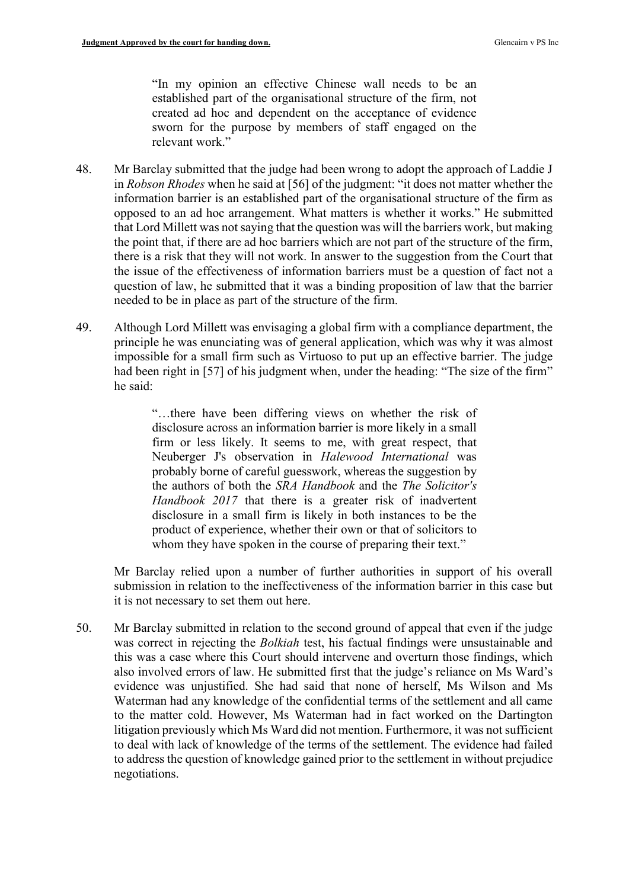"In my opinion an effective Chinese wall needs to be an established part of the organisational structure of the firm, not created ad hoc and dependent on the acceptance of evidence sworn for the purpose by members of staff engaged on the relevant work."

- 48. Mr Barclay submitted that the judge had been wrong to adopt the approach of Laddie J in Robson Rhodes when he said at [56] of the judgment: "it does not matter whether the information barrier is an established part of the organisational structure of the firm as opposed to an ad hoc arrangement. What matters is whether it works." He submitted that Lord Millett was not saying that the question was will the barriers work, but making the point that, if there are ad hoc barriers which are not part of the structure of the firm, there is a risk that they will not work. In answer to the suggestion from the Court that the issue of the effectiveness of information barriers must be a question of fact not a question of law, he submitted that it was a binding proposition of law that the barrier needed to be in place as part of the structure of the firm.
- 49. Although Lord Millett was envisaging a global firm with a compliance department, the principle he was enunciating was of general application, which was why it was almost impossible for a small firm such as Virtuoso to put up an effective barrier. The judge had been right in [57] of his judgment when, under the heading: "The size of the firm" he said:

"…there have been differing views on whether the risk of disclosure across an information barrier is more likely in a small firm or less likely. It seems to me, with great respect, that Neuberger J's observation in Halewood International was probably borne of careful guesswork, whereas the suggestion by the authors of both the SRA Handbook and the The Solicitor's Handbook 2017 that there is a greater risk of inadvertent disclosure in a small firm is likely in both instances to be the product of experience, whether their own or that of solicitors to whom they have spoken in the course of preparing their text."

Mr Barclay relied upon a number of further authorities in support of his overall submission in relation to the ineffectiveness of the information barrier in this case but it is not necessary to set them out here.

50. Mr Barclay submitted in relation to the second ground of appeal that even if the judge was correct in rejecting the *Bolkiah* test, his factual findings were unsustainable and this was a case where this Court should intervene and overturn those findings, which also involved errors of law. He submitted first that the judge's reliance on Ms Ward's evidence was unjustified. She had said that none of herself, Ms Wilson and Ms Waterman had any knowledge of the confidential terms of the settlement and all came to the matter cold. However, Ms Waterman had in fact worked on the Dartington litigation previously which Ms Ward did not mention. Furthermore, it was not sufficient to deal with lack of knowledge of the terms of the settlement. The evidence had failed to address the question of knowledge gained prior to the settlement in without prejudice negotiations.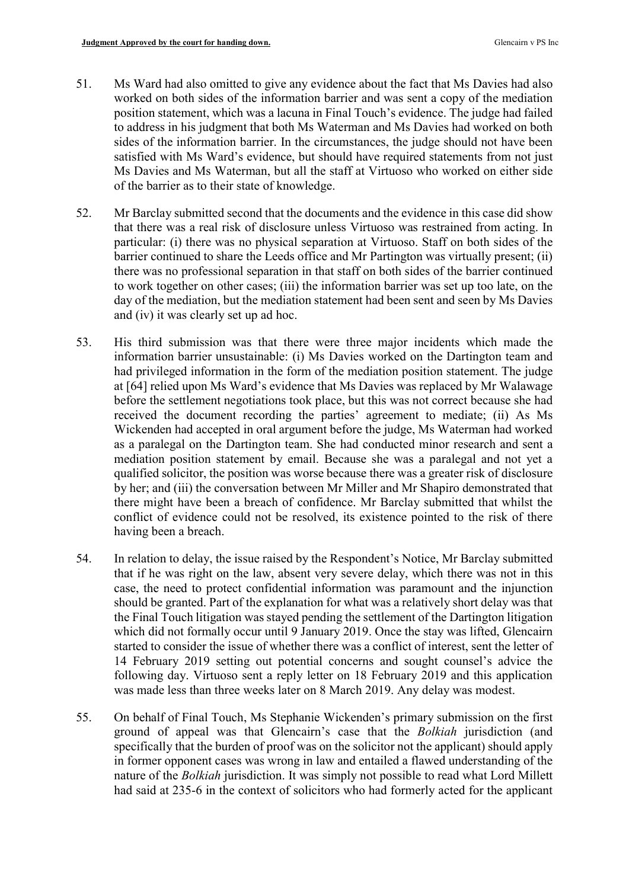- 51. Ms Ward had also omitted to give any evidence about the fact that Ms Davies had also worked on both sides of the information barrier and was sent a copy of the mediation position statement, which was a lacuna in Final Touch's evidence. The judge had failed to address in his judgment that both Ms Waterman and Ms Davies had worked on both sides of the information barrier. In the circumstances, the judge should not have been satisfied with Ms Ward's evidence, but should have required statements from not just Ms Davies and Ms Waterman, but all the staff at Virtuoso who worked on either side of the barrier as to their state of knowledge.
- 52. Mr Barclay submitted second that the documents and the evidence in this case did show that there was a real risk of disclosure unless Virtuoso was restrained from acting. In particular: (i) there was no physical separation at Virtuoso. Staff on both sides of the barrier continued to share the Leeds office and Mr Partington was virtually present; (ii) there was no professional separation in that staff on both sides of the barrier continued to work together on other cases; (iii) the information barrier was set up too late, on the day of the mediation, but the mediation statement had been sent and seen by Ms Davies and (iv) it was clearly set up ad hoc.
- 53. His third submission was that there were three major incidents which made the information barrier unsustainable: (i) Ms Davies worked on the Dartington team and had privileged information in the form of the mediation position statement. The judge at [64] relied upon Ms Ward's evidence that Ms Davies was replaced by Mr Walawage before the settlement negotiations took place, but this was not correct because she had received the document recording the parties' agreement to mediate; (ii) As Ms Wickenden had accepted in oral argument before the judge, Ms Waterman had worked as a paralegal on the Dartington team. She had conducted minor research and sent a mediation position statement by email. Because she was a paralegal and not yet a qualified solicitor, the position was worse because there was a greater risk of disclosure by her; and (iii) the conversation between Mr Miller and Mr Shapiro demonstrated that there might have been a breach of confidence. Mr Barclay submitted that whilst the conflict of evidence could not be resolved, its existence pointed to the risk of there having been a breach.
- 54. In relation to delay, the issue raised by the Respondent's Notice, Mr Barclay submitted that if he was right on the law, absent very severe delay, which there was not in this case, the need to protect confidential information was paramount and the injunction should be granted. Part of the explanation for what was a relatively short delay was that the Final Touch litigation was stayed pending the settlement of the Dartington litigation which did not formally occur until 9 January 2019. Once the stay was lifted, Glencairn started to consider the issue of whether there was a conflict of interest, sent the letter of 14 February 2019 setting out potential concerns and sought counsel's advice the following day. Virtuoso sent a reply letter on 18 February 2019 and this application was made less than three weeks later on 8 March 2019. Any delay was modest.
- 55. On behalf of Final Touch, Ms Stephanie Wickenden's primary submission on the first ground of appeal was that Glencairn's case that the Bolkiah jurisdiction (and specifically that the burden of proof was on the solicitor not the applicant) should apply in former opponent cases was wrong in law and entailed a flawed understanding of the nature of the Bolkiah jurisdiction. It was simply not possible to read what Lord Millett had said at 235-6 in the context of solicitors who had formerly acted for the applicant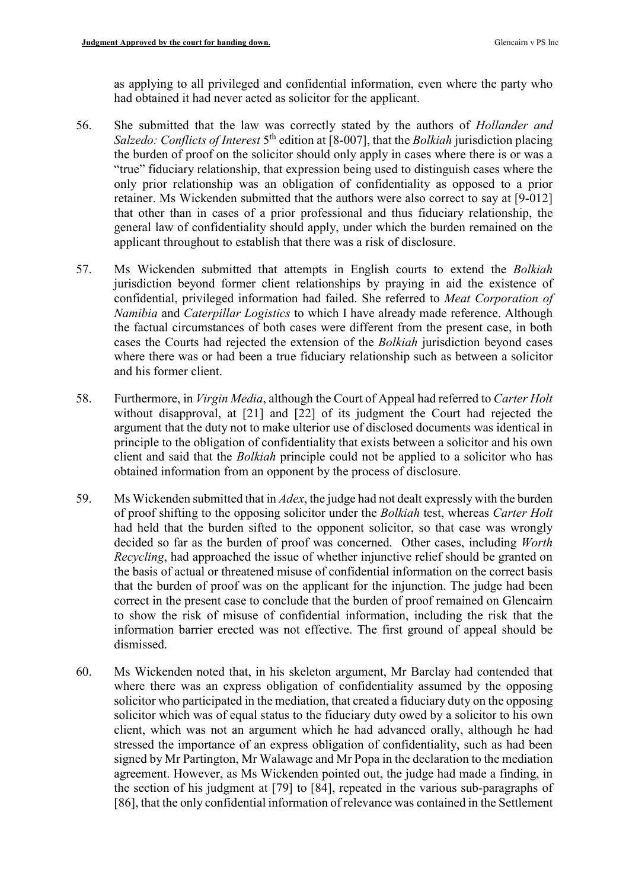as applying to all privileged and confidential information, even where the party who had obtained it had never acted as solicitor for the applicant.

- 56. She submitted that the law was correctly stated by the authors of Hollander and Salzedo: Conflicts of Interest  $5<sup>th</sup>$  edition at [8-007], that the Bolkiah jurisdiction placing the burden of proof on the solicitor should only apply in cases where there is or was a "true" fiduciary relationship, that expression being used to distinguish cases where the only prior relationship was an obligation of confidentiality as opposed to a prior retainer. Ms Wickenden submitted that the authors were also correct to say at [9-012] that other than in cases of a prior professional and thus fiduciary relationship, the general law of confidentiality should apply, under which the burden remained on the applicant throughout to establish that there was a risk of disclosure.
- 57. Ms Wickenden submitted that attempts in English courts to extend the Bolkiah jurisdiction beyond former client relationships by praying in aid the existence of confidential, privileged information had failed. She referred to Meat Corporation of Namibia and Caterpillar Logistics to which I have already made reference. Although the factual circumstances of both cases were different from the present case, in both cases the Courts had rejected the extension of the Bolkiah jurisdiction beyond cases where there was or had been a true fiduciary relationship such as between a solicitor and his former client.
- 58. Furthermore, in *Virgin Media*, although the Court of Appeal had referred to *Carter Holt* without disapproval, at [21] and [22] of its judgment the Court had rejected the argument that the duty not to make ulterior use of disclosed documents was identical in principle to the obligation of confidentiality that exists between a solicitor and his own client and said that the Bolkiah principle could not be applied to a solicitor who has obtained information from an opponent by the process of disclosure.
- 59. Ms Wickenden submitted that in *Adex*, the judge had not dealt expressly with the burden of proof shifting to the opposing solicitor under the Bolkiah test, whereas Carter Holt had held that the burden sifted to the opponent solicitor, so that case was wrongly decided so far as the burden of proof was concerned. Other cases, including Worth Recycling, had approached the issue of whether injunctive relief should be granted on the basis of actual or threatened misuse of confidential information on the correct basis that the burden of proof was on the applicant for the injunction. The judge had been correct in the present case to conclude that the burden of proof remained on Glencairn to show the risk of misuse of confidential information, including the risk that the information barrier erected was not effective. The first ground of appeal should be dismissed.
- 60. Ms Wickenden noted that, in his skeleton argument, Mr Barclay had contended that where there was an express obligation of confidentiality assumed by the opposing solicitor who participated in the mediation, that created a fiduciary duty on the opposing solicitor which was of equal status to the fiduciary duty owed by a solicitor to his own client, which was not an argument which he had advanced orally, although he had stressed the importance of an express obligation of confidentiality, such as had been signed by Mr Partington, Mr Walawage and Mr Popa in the declaration to the mediation agreement. However, as Ms Wickenden pointed out, the judge had made a finding, in the section of his judgment at [79] to [84], repeated in the various sub-paragraphs of [86], that the only confidential information of relevance was contained in the Settlement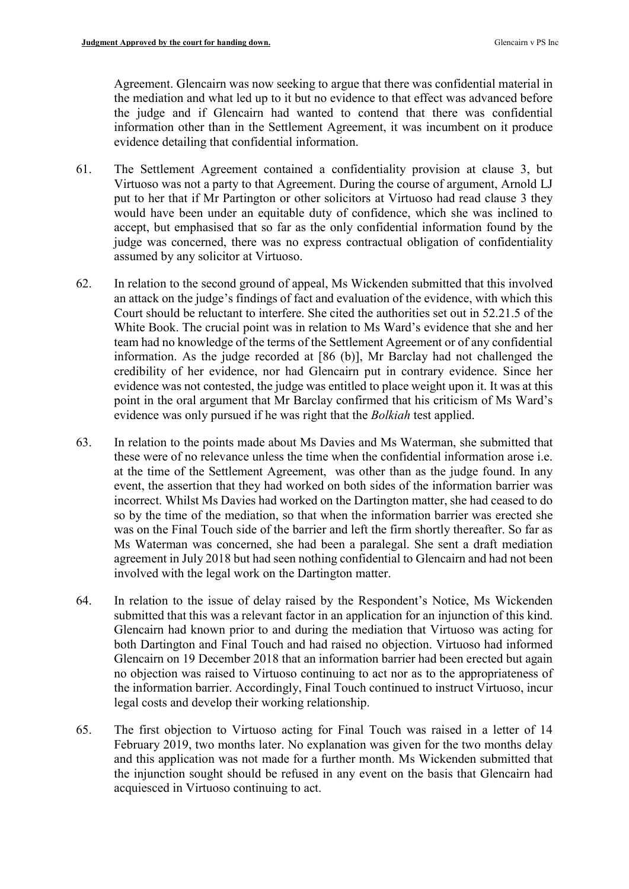Agreement. Glencairn was now seeking to argue that there was confidential material in the mediation and what led up to it but no evidence to that effect was advanced before the judge and if Glencairn had wanted to contend that there was confidential information other than in the Settlement Agreement, it was incumbent on it produce evidence detailing that confidential information.

- 61. The Settlement Agreement contained a confidentiality provision at clause 3, but Virtuoso was not a party to that Agreement. During the course of argument, Arnold LJ put to her that if Mr Partington or other solicitors at Virtuoso had read clause 3 they would have been under an equitable duty of confidence, which she was inclined to accept, but emphasised that so far as the only confidential information found by the judge was concerned, there was no express contractual obligation of confidentiality assumed by any solicitor at Virtuoso.
- 62. In relation to the second ground of appeal, Ms Wickenden submitted that this involved an attack on the judge's findings of fact and evaluation of the evidence, with which this Court should be reluctant to interfere. She cited the authorities set out in 52.21.5 of the White Book. The crucial point was in relation to Ms Ward's evidence that she and her team had no knowledge of the terms of the Settlement Agreement or of any confidential information. As the judge recorded at [86 (b)], Mr Barclay had not challenged the credibility of her evidence, nor had Glencairn put in contrary evidence. Since her evidence was not contested, the judge was entitled to place weight upon it. It was at this point in the oral argument that Mr Barclay confirmed that his criticism of Ms Ward's evidence was only pursued if he was right that the Bolkiah test applied.
- 63. In relation to the points made about Ms Davies and Ms Waterman, she submitted that these were of no relevance unless the time when the confidential information arose i.e. at the time of the Settlement Agreement, was other than as the judge found. In any event, the assertion that they had worked on both sides of the information barrier was incorrect. Whilst Ms Davies had worked on the Dartington matter, she had ceased to do so by the time of the mediation, so that when the information barrier was erected she was on the Final Touch side of the barrier and left the firm shortly thereafter. So far as Ms Waterman was concerned, she had been a paralegal. She sent a draft mediation agreement in July 2018 but had seen nothing confidential to Glencairn and had not been involved with the legal work on the Dartington matter.
- 64. In relation to the issue of delay raised by the Respondent's Notice, Ms Wickenden submitted that this was a relevant factor in an application for an injunction of this kind. Glencairn had known prior to and during the mediation that Virtuoso was acting for both Dartington and Final Touch and had raised no objection. Virtuoso had informed Glencairn on 19 December 2018 that an information barrier had been erected but again no objection was raised to Virtuoso continuing to act nor as to the appropriateness of the information barrier. Accordingly, Final Touch continued to instruct Virtuoso, incur legal costs and develop their working relationship.
- 65. The first objection to Virtuoso acting for Final Touch was raised in a letter of 14 February 2019, two months later. No explanation was given for the two months delay and this application was not made for a further month. Ms Wickenden submitted that the injunction sought should be refused in any event on the basis that Glencairn had acquiesced in Virtuoso continuing to act.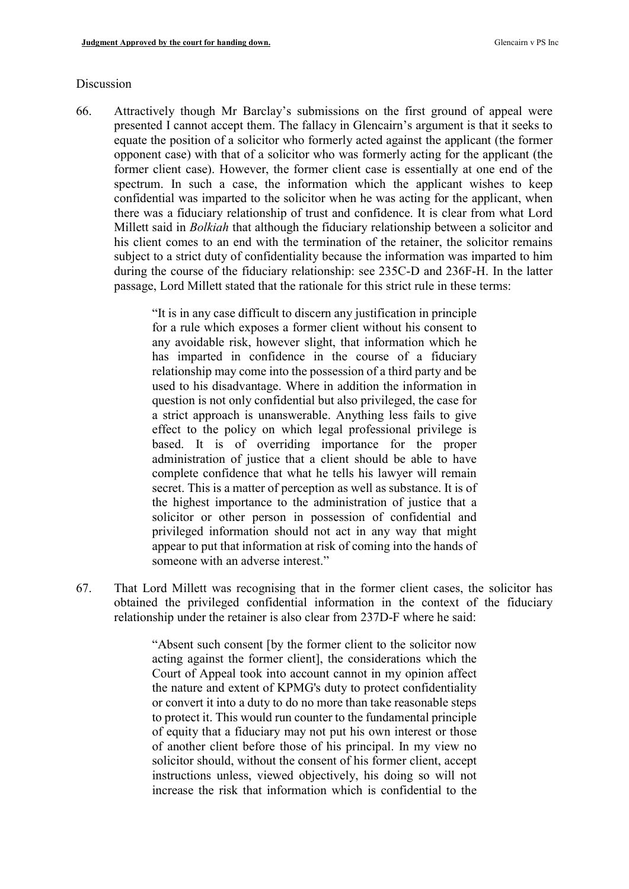#### Discussion

66. Attractively though Mr Barclay's submissions on the first ground of appeal were presented I cannot accept them. The fallacy in Glencairn's argument is that it seeks to equate the position of a solicitor who formerly acted against the applicant (the former opponent case) with that of a solicitor who was formerly acting for the applicant (the former client case). However, the former client case is essentially at one end of the spectrum. In such a case, the information which the applicant wishes to keep confidential was imparted to the solicitor when he was acting for the applicant, when there was a fiduciary relationship of trust and confidence. It is clear from what Lord Millett said in *Bolkiah* that although the fiduciary relationship between a solicitor and his client comes to an end with the termination of the retainer, the solicitor remains subject to a strict duty of confidentiality because the information was imparted to him during the course of the fiduciary relationship: see 235C-D and 236F-H. In the latter passage, Lord Millett stated that the rationale for this strict rule in these terms:

> "It is in any case difficult to discern any justification in principle for a rule which exposes a former client without his consent to any avoidable risk, however slight, that information which he has imparted in confidence in the course of a fiduciary relationship may come into the possession of a third party and be used to his disadvantage. Where in addition the information in question is not only confidential but also privileged, the case for a strict approach is unanswerable. Anything less fails to give effect to the policy on which legal professional privilege is based. It is of overriding importance for the proper administration of justice that a client should be able to have complete confidence that what he tells his lawyer will remain secret. This is a matter of perception as well as substance. It is of the highest importance to the administration of justice that a solicitor or other person in possession of confidential and privileged information should not act in any way that might appear to put that information at risk of coming into the hands of someone with an adverse interest."

67. That Lord Millett was recognising that in the former client cases, the solicitor has obtained the privileged confidential information in the context of the fiduciary relationship under the retainer is also clear from 237D-F where he said:

> "Absent such consent [by the former client to the solicitor now acting against the former client], the considerations which the Court of Appeal took into account cannot in my opinion affect the nature and extent of KPMG's duty to protect confidentiality or convert it into a duty to do no more than take reasonable steps to protect it. This would run counter to the fundamental principle of equity that a fiduciary may not put his own interest or those of another client before those of his principal. In my view no solicitor should, without the consent of his former client, accept instructions unless, viewed objectively, his doing so will not increase the risk that information which is confidential to the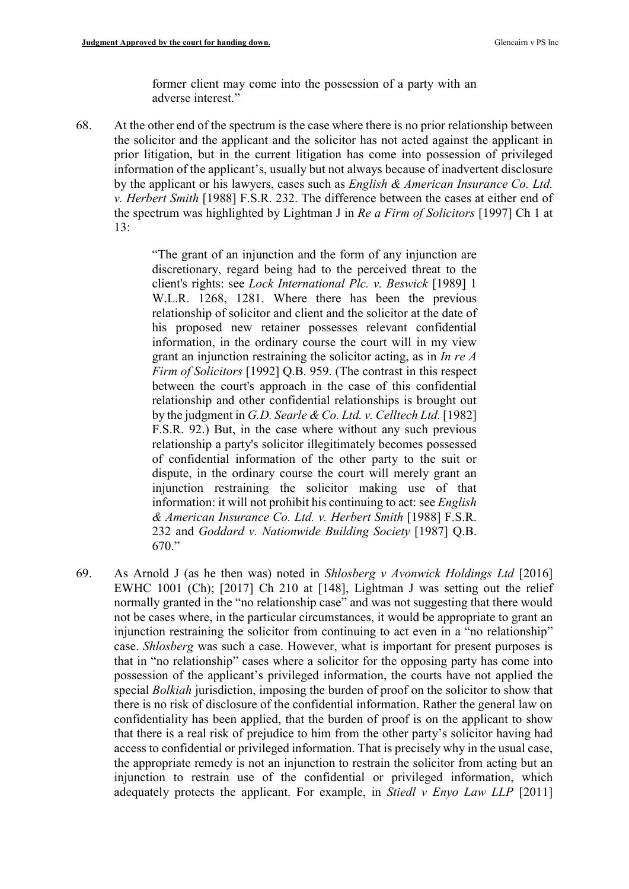former client may come into the possession of a party with an adverse interest."

68. At the other end of the spectrum is the case where there is no prior relationship between the solicitor and the applicant and the solicitor has not acted against the applicant in prior litigation, but in the current litigation has come into possession of privileged information of the applicant's, usually but not always because of inadvertent disclosure by the applicant or his lawyers, cases such as English & American Insurance Co. Ltd. v. Herbert Smith [1988] F.S.R. 232. The difference between the cases at either end of the spectrum was highlighted by Lightman J in Re a Firm of Solicitors [1997] Ch 1 at 13:

> "The grant of an injunction and the form of any injunction are discretionary, regard being had to the perceived threat to the client's rights: see Lock International Plc. v. Beswick [1989] 1 W.L.R. 1268, 1281. Where there has been the previous relationship of solicitor and client and the solicitor at the date of his proposed new retainer possesses relevant confidential information, in the ordinary course the court will in my view grant an injunction restraining the solicitor acting, as in  $\text{In } re\text{ } A$ Firm of Solicitors [1992] Q.B. 959. (The contrast in this respect between the court's approach in the case of this confidential relationship and other confidential relationships is brought out by the judgment in G.D. Searle & Co. Ltd. v. Celltech Ltd. [1982] F.S.R. 92.) But, in the case where without any such previous relationship a party's solicitor illegitimately becomes possessed of confidential information of the other party to the suit or dispute, in the ordinary course the court will merely grant an injunction restraining the solicitor making use of that information: it will not prohibit his continuing to act: see English & American Insurance Co. Ltd. v. Herbert Smith [1988] F.S.R. 232 and Goddard v. Nationwide Building Society [1987] Q.B. 670."

69. As Arnold J (as he then was) noted in Shlosberg v Avonwick Holdings Ltd [2016] EWHC 1001 (Ch); [2017] Ch 210 at [148], Lightman J was setting out the relief normally granted in the "no relationship case" and was not suggesting that there would not be cases where, in the particular circumstances, it would be appropriate to grant an injunction restraining the solicitor from continuing to act even in a "no relationship" case. Shlosberg was such a case. However, what is important for present purposes is that in "no relationship" cases where a solicitor for the opposing party has come into possession of the applicant's privileged information, the courts have not applied the special *Bolkiah* jurisdiction, imposing the burden of proof on the solicitor to show that there is no risk of disclosure of the confidential information. Rather the general law on confidentiality has been applied, that the burden of proof is on the applicant to show that there is a real risk of prejudice to him from the other party's solicitor having had access to confidential or privileged information. That is precisely why in the usual case, the appropriate remedy is not an injunction to restrain the solicitor from acting but an injunction to restrain use of the confidential or privileged information, which adequately protects the applicant. For example, in Stiedl v Enyo Law LLP  $[2011]$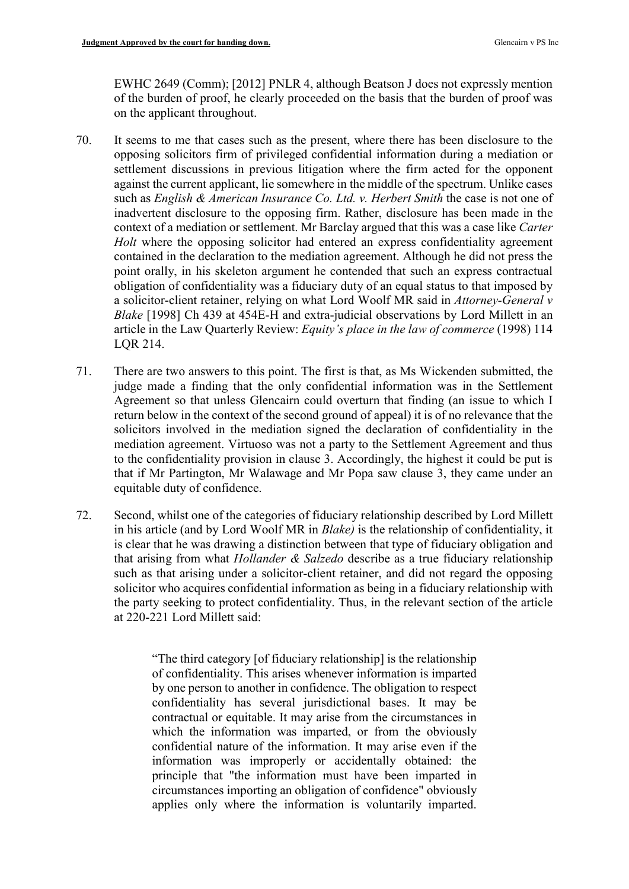EWHC 2649 (Comm); [2012] PNLR 4, although Beatson J does not expressly mention of the burden of proof, he clearly proceeded on the basis that the burden of proof was on the applicant throughout.

- 70. It seems to me that cases such as the present, where there has been disclosure to the opposing solicitors firm of privileged confidential information during a mediation or settlement discussions in previous litigation where the firm acted for the opponent against the current applicant, lie somewhere in the middle of the spectrum. Unlike cases such as *English & American Insurance Co. Ltd. v. Herbert Smith* the case is not one of inadvertent disclosure to the opposing firm. Rather, disclosure has been made in the context of a mediation or settlement. Mr Barclay argued that this was a case like Carter Holt where the opposing solicitor had entered an express confidentiality agreement contained in the declaration to the mediation agreement. Although he did not press the point orally, in his skeleton argument he contended that such an express contractual obligation of confidentiality was a fiduciary duty of an equal status to that imposed by a solicitor-client retainer, relying on what Lord Woolf MR said in Attorney-General v Blake [1998] Ch 439 at 454E-H and extra-judicial observations by Lord Millett in an article in the Law Quarterly Review: Equity's place in the law of commerce (1998) 114 LQR 214.
- 71. There are two answers to this point. The first is that, as Ms Wickenden submitted, the judge made a finding that the only confidential information was in the Settlement Agreement so that unless Glencairn could overturn that finding (an issue to which I return below in the context of the second ground of appeal) it is of no relevance that the solicitors involved in the mediation signed the declaration of confidentiality in the mediation agreement. Virtuoso was not a party to the Settlement Agreement and thus to the confidentiality provision in clause 3. Accordingly, the highest it could be put is that if Mr Partington, Mr Walawage and Mr Popa saw clause 3, they came under an equitable duty of confidence.
- 72. Second, whilst one of the categories of fiduciary relationship described by Lord Millett in his article (and by Lord Woolf MR in Blake) is the relationship of confidentiality, it is clear that he was drawing a distinction between that type of fiduciary obligation and that arising from what *Hollander & Salzedo* describe as a true fiduciary relationship such as that arising under a solicitor-client retainer, and did not regard the opposing solicitor who acquires confidential information as being in a fiduciary relationship with the party seeking to protect confidentiality. Thus, in the relevant section of the article at 220-221 Lord Millett said:

"The third category [of fiduciary relationship] is the relationship of confidentiality. This arises whenever information is imparted by one person to another in confidence. The obligation to respect confidentiality has several jurisdictional bases. It may be contractual or equitable. It may arise from the circumstances in which the information was imparted, or from the obviously confidential nature of the information. It may arise even if the information was improperly or accidentally obtained: the principle that "the information must have been imparted in circumstances importing an obligation of confidence" obviously applies only where the information is voluntarily imparted.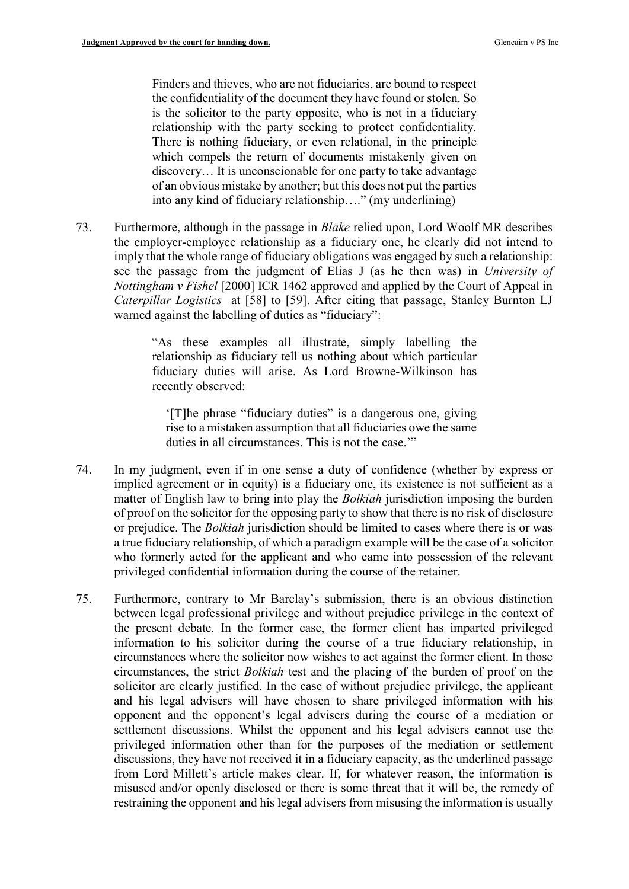Finders and thieves, who are not fiduciaries, are bound to respect the confidentiality of the document they have found or stolen. So is the solicitor to the party opposite, who is not in a fiduciary relationship with the party seeking to protect confidentiality. There is nothing fiduciary, or even relational, in the principle which compels the return of documents mistakenly given on discovery… It is unconscionable for one party to take advantage of an obvious mistake by another; but this does not put the parties into any kind of fiduciary relationship…." (my underlining)

73. Furthermore, although in the passage in *Blake* relied upon, Lord Woolf MR describes the employer-employee relationship as a fiduciary one, he clearly did not intend to imply that the whole range of fiduciary obligations was engaged by such a relationship: see the passage from the judgment of Elias J (as he then was) in University of Nottingham v Fishel [2000] ICR 1462 approved and applied by the Court of Appeal in Caterpillar Logistics at [58] to [59]. After citing that passage, Stanley Burnton LJ warned against the labelling of duties as "fiduciary":

> "As these examples all illustrate, simply labelling the relationship as fiduciary tell us nothing about which particular fiduciary duties will arise. As Lord Browne-Wilkinson has recently observed:

'[T]he phrase "fiduciary duties" is a dangerous one, giving rise to a mistaken assumption that all fiduciaries owe the same duties in all circumstances. This is not the case."

- 74. In my judgment, even if in one sense a duty of confidence (whether by express or implied agreement or in equity) is a fiduciary one, its existence is not sufficient as a matter of English law to bring into play the *Bolkiah* jurisdiction imposing the burden of proof on the solicitor for the opposing party to show that there is no risk of disclosure or prejudice. The Bolkiah jurisdiction should be limited to cases where there is or was a true fiduciary relationship, of which a paradigm example will be the case of a solicitor who formerly acted for the applicant and who came into possession of the relevant privileged confidential information during the course of the retainer.
- 75. Furthermore, contrary to Mr Barclay's submission, there is an obvious distinction between legal professional privilege and without prejudice privilege in the context of the present debate. In the former case, the former client has imparted privileged information to his solicitor during the course of a true fiduciary relationship, in circumstances where the solicitor now wishes to act against the former client. In those circumstances, the strict Bolkiah test and the placing of the burden of proof on the solicitor are clearly justified. In the case of without prejudice privilege, the applicant and his legal advisers will have chosen to share privileged information with his opponent and the opponent's legal advisers during the course of a mediation or settlement discussions. Whilst the opponent and his legal advisers cannot use the privileged information other than for the purposes of the mediation or settlement discussions, they have not received it in a fiduciary capacity, as the underlined passage from Lord Millett's article makes clear. If, for whatever reason, the information is misused and/or openly disclosed or there is some threat that it will be, the remedy of restraining the opponent and his legal advisers from misusing the information is usually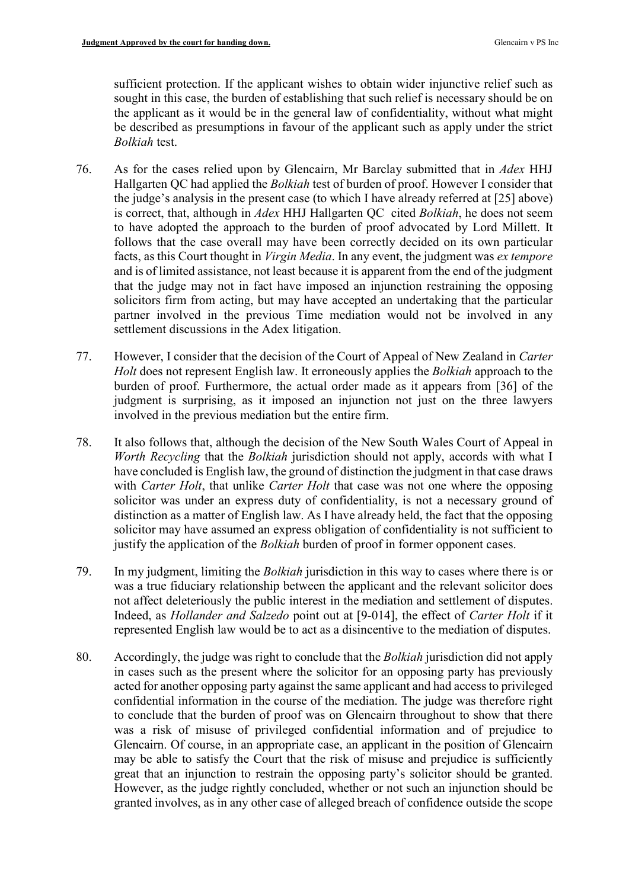sufficient protection. If the applicant wishes to obtain wider injunctive relief such as sought in this case, the burden of establishing that such relief is necessary should be on the applicant as it would be in the general law of confidentiality, without what might be described as presumptions in favour of the applicant such as apply under the strict Bolkiah test.

- 76. As for the cases relied upon by Glencairn, Mr Barclay submitted that in Adex HHJ Hallgarten QC had applied the Bolkiah test of burden of proof. However I consider that the judge's analysis in the present case (to which I have already referred at [25] above) is correct, that, although in Adex HHJ Hallgarten QC cited Bolkiah, he does not seem to have adopted the approach to the burden of proof advocated by Lord Millett. It follows that the case overall may have been correctly decided on its own particular facts, as this Court thought in Virgin Media. In any event, the judgment was ex tempore and is of limited assistance, not least because it is apparent from the end of the judgment that the judge may not in fact have imposed an injunction restraining the opposing solicitors firm from acting, but may have accepted an undertaking that the particular partner involved in the previous Time mediation would not be involved in any settlement discussions in the Adex litigation.
- 77. However, I consider that the decision of the Court of Appeal of New Zealand in Carter Holt does not represent English law. It erroneously applies the Bolkiah approach to the burden of proof. Furthermore, the actual order made as it appears from [36] of the judgment is surprising, as it imposed an injunction not just on the three lawyers involved in the previous mediation but the entire firm.
- 78. It also follows that, although the decision of the New South Wales Court of Appeal in Worth Recycling that the Bolkiah jurisdiction should not apply, accords with what I have concluded is English law, the ground of distinction the judgment in that case draws with *Carter Holt*, that unlike *Carter Holt* that case was not one where the opposing solicitor was under an express duty of confidentiality, is not a necessary ground of distinction as a matter of English law. As I have already held, the fact that the opposing solicitor may have assumed an express obligation of confidentiality is not sufficient to justify the application of the *Bolkiah* burden of proof in former opponent cases.
- 79. In my judgment, limiting the Bolkiah jurisdiction in this way to cases where there is or was a true fiduciary relationship between the applicant and the relevant solicitor does not affect deleteriously the public interest in the mediation and settlement of disputes. Indeed, as Hollander and Salzedo point out at [9-014], the effect of Carter Holt if it represented English law would be to act as a disincentive to the mediation of disputes.
- 80. Accordingly, the judge was right to conclude that the Bolkiah jurisdiction did not apply in cases such as the present where the solicitor for an opposing party has previously acted for another opposing party against the same applicant and had access to privileged confidential information in the course of the mediation. The judge was therefore right to conclude that the burden of proof was on Glencairn throughout to show that there was a risk of misuse of privileged confidential information and of prejudice to Glencairn. Of course, in an appropriate case, an applicant in the position of Glencairn may be able to satisfy the Court that the risk of misuse and prejudice is sufficiently great that an injunction to restrain the opposing party's solicitor should be granted. However, as the judge rightly concluded, whether or not such an injunction should be granted involves, as in any other case of alleged breach of confidence outside the scope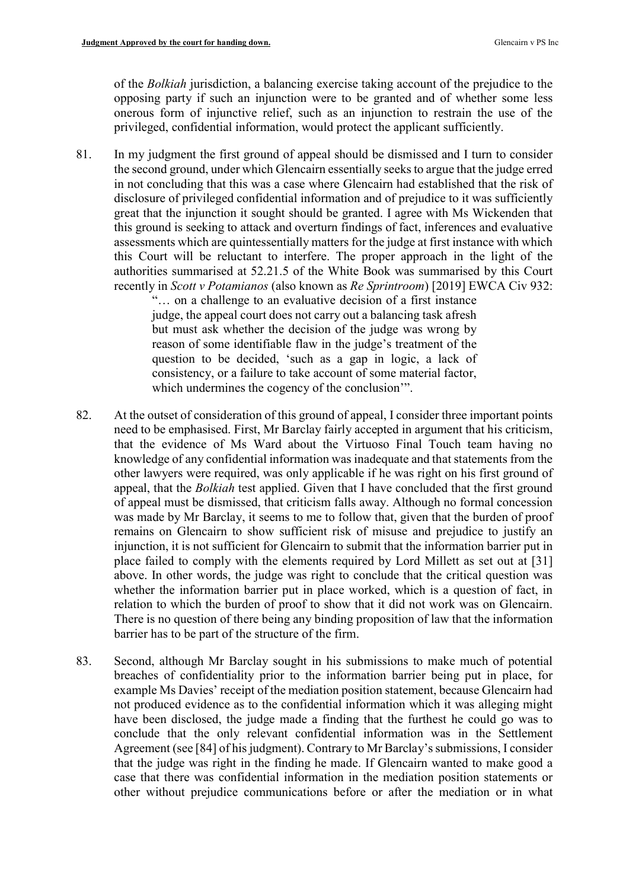of the Bolkiah jurisdiction, a balancing exercise taking account of the prejudice to the opposing party if such an injunction were to be granted and of whether some less onerous form of injunctive relief, such as an injunction to restrain the use of the privileged, confidential information, would protect the applicant sufficiently.

81. In my judgment the first ground of appeal should be dismissed and I turn to consider the second ground, under which Glencairn essentially seeks to argue that the judge erred in not concluding that this was a case where Glencairn had established that the risk of disclosure of privileged confidential information and of prejudice to it was sufficiently great that the injunction it sought should be granted. I agree with Ms Wickenden that this ground is seeking to attack and overturn findings of fact, inferences and evaluative assessments which are quintessentially matters for the judge at first instance with which this Court will be reluctant to interfere. The proper approach in the light of the authorities summarised at 52.21.5 of the White Book was summarised by this Court recently in Scott v Potamianos (also known as Re Sprintroom) [2019] EWCA Civ 932:

"… on a challenge to an evaluative decision of a first instance judge, the appeal court does not carry out a balancing task afresh but must ask whether the decision of the judge was wrong by reason of some identifiable flaw in the judge's treatment of the question to be decided, 'such as a gap in logic, a lack of consistency, or a failure to take account of some material factor, which undermines the cogency of the conclusion'".

- 82. At the outset of consideration of this ground of appeal, I consider three important points need to be emphasised. First, Mr Barclay fairly accepted in argument that his criticism, that the evidence of Ms Ward about the Virtuoso Final Touch team having no knowledge of any confidential information was inadequate and that statements from the other lawyers were required, was only applicable if he was right on his first ground of appeal, that the Bolkiah test applied. Given that I have concluded that the first ground of appeal must be dismissed, that criticism falls away. Although no formal concession was made by Mr Barclay, it seems to me to follow that, given that the burden of proof remains on Glencairn to show sufficient risk of misuse and prejudice to justify an injunction, it is not sufficient for Glencairn to submit that the information barrier put in place failed to comply with the elements required by Lord Millett as set out at [31] above. In other words, the judge was right to conclude that the critical question was whether the information barrier put in place worked, which is a question of fact, in relation to which the burden of proof to show that it did not work was on Glencairn. There is no question of there being any binding proposition of law that the information barrier has to be part of the structure of the firm.
- 83. Second, although Mr Barclay sought in his submissions to make much of potential breaches of confidentiality prior to the information barrier being put in place, for example Ms Davies' receipt of the mediation position statement, because Glencairn had not produced evidence as to the confidential information which it was alleging might have been disclosed, the judge made a finding that the furthest he could go was to conclude that the only relevant confidential information was in the Settlement Agreement (see [84] of his judgment). Contrary to Mr Barclay's submissions, I consider that the judge was right in the finding he made. If Glencairn wanted to make good a case that there was confidential information in the mediation position statements or other without prejudice communications before or after the mediation or in what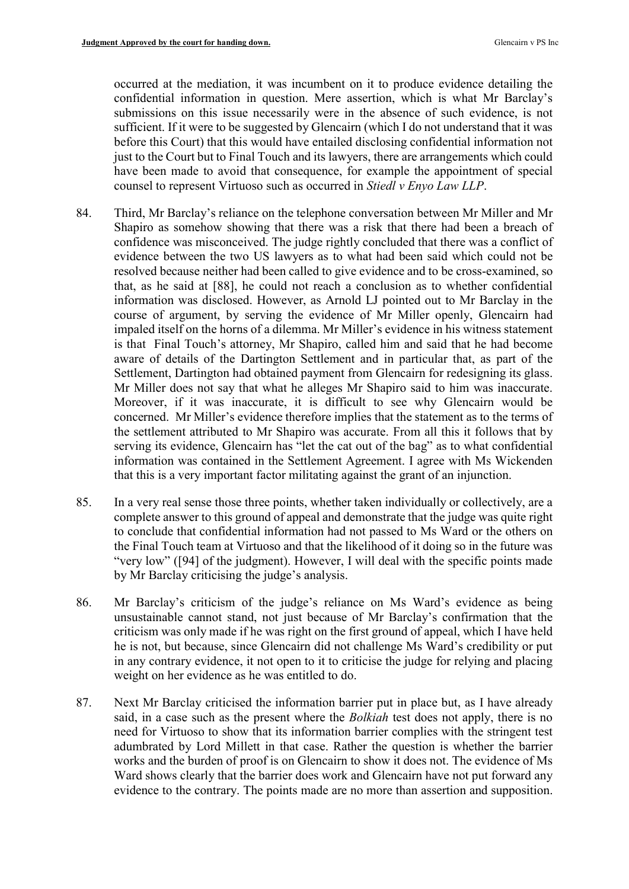occurred at the mediation, it was incumbent on it to produce evidence detailing the confidential information in question. Mere assertion, which is what Mr Barclay's submissions on this issue necessarily were in the absence of such evidence, is not sufficient. If it were to be suggested by Glencairn (which I do not understand that it was before this Court) that this would have entailed disclosing confidential information not just to the Court but to Final Touch and its lawyers, there are arrangements which could have been made to avoid that consequence, for example the appointment of special counsel to represent Virtuoso such as occurred in Stiedl v Enyo Law LLP.

- 84. Third, Mr Barclay's reliance on the telephone conversation between Mr Miller and Mr Shapiro as somehow showing that there was a risk that there had been a breach of confidence was misconceived. The judge rightly concluded that there was a conflict of evidence between the two US lawyers as to what had been said which could not be resolved because neither had been called to give evidence and to be cross-examined, so that, as he said at [88], he could not reach a conclusion as to whether confidential information was disclosed. However, as Arnold LJ pointed out to Mr Barclay in the course of argument, by serving the evidence of Mr Miller openly, Glencairn had impaled itself on the horns of a dilemma. Mr Miller's evidence in his witness statement is that Final Touch's attorney, Mr Shapiro, called him and said that he had become aware of details of the Dartington Settlement and in particular that, as part of the Settlement, Dartington had obtained payment from Glencairn for redesigning its glass. Mr Miller does not say that what he alleges Mr Shapiro said to him was inaccurate. Moreover, if it was inaccurate, it is difficult to see why Glencairn would be concerned. Mr Miller's evidence therefore implies that the statement as to the terms of the settlement attributed to Mr Shapiro was accurate. From all this it follows that by serving its evidence, Glencairn has "let the cat out of the bag" as to what confidential information was contained in the Settlement Agreement. I agree with Ms Wickenden that this is a very important factor militating against the grant of an injunction.
- 85. In a very real sense those three points, whether taken individually or collectively, are a complete answer to this ground of appeal and demonstrate that the judge was quite right to conclude that confidential information had not passed to Ms Ward or the others on the Final Touch team at Virtuoso and that the likelihood of it doing so in the future was "very low" ([94] of the judgment). However, I will deal with the specific points made by Mr Barclay criticising the judge's analysis.
- 86. Mr Barclay's criticism of the judge's reliance on Ms Ward's evidence as being unsustainable cannot stand, not just because of Mr Barclay's confirmation that the criticism was only made if he was right on the first ground of appeal, which I have held he is not, but because, since Glencairn did not challenge Ms Ward's credibility or put in any contrary evidence, it not open to it to criticise the judge for relying and placing weight on her evidence as he was entitled to do.
- 87. Next Mr Barclay criticised the information barrier put in place but, as I have already said, in a case such as the present where the Bolkiah test does not apply, there is no need for Virtuoso to show that its information barrier complies with the stringent test adumbrated by Lord Millett in that case. Rather the question is whether the barrier works and the burden of proof is on Glencairn to show it does not. The evidence of Ms Ward shows clearly that the barrier does work and Glencairn have not put forward any evidence to the contrary. The points made are no more than assertion and supposition.